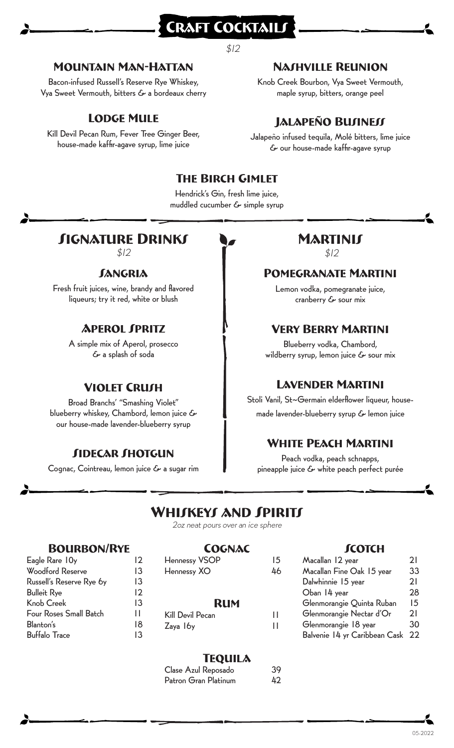# $$12$

### Mountain Man-Hattan

Bacon-infused Russell's Reserve Rye Whiskey, Vya Sweet Vermouth, bitters & a bordeaux cherry

## Lodge Mule

Kill Devil Pecan Rum, Fever Tree Ginger Beer, house-made kaffir-agave syrup, lime juice

## Nashville Reunion

Knob Creek Bourbon, Vya Sweet Vermouth, maple syrup, bitters, orange peel

# JALAPEÑO BUJINEJJ

Jalapeño infused tequila, Molé bitters, lime juice & our house-made kaffir-agave syrup

### The Birch Gimlet

CRAFT COCKTAIL

Hendrick's Gin, fresh lime juice, muddled cucumber & simple syrup

# **SIGNATURE DRINKS**

 $$12$   $$12$ 

#### *JANGRIA*

Fresh fruit juices, wine, brandy and flavored liqueurs; try it red, white or blush

### **APFROL SPRITZ**

A simple mix of Aperol, prosecco & a splash of soda

### **VIOLET CRUSH**

Broad Branchs' "Smashing Violet" blueberry whiskey, Chambord, lemon juice & our house-made lavender-blueberry syrup

### **SIDECAR SHOTGUN**

Cognac, Cointreau, lemon juice & a sugar rim

# **MARTINIS**<br>\$12

#### Pomegranate Martini

Lemon vodka, pomegranate juice, cranberry & sour mix

#### Very Berry Martini

Blueberry vodka, Chambord, wildberry syrup, lemon juice & sour mix

### Lavender Martini

Stoli Vanil, St~Germain elderflower liqueur, housemade lavender-blueberry syrup & lemon juice

### White Peach Martini

Peach vodka, peach schnapps, pineapple juice & white peach perfect purée

# WHIJKEYJ AND JPIRITJ

2oz neat pours over an ice sphere

#### Bourbon/Rye

| Eagle Rare 10y                | 12 |
|-------------------------------|----|
| <b>Woodford Reserve</b>       | 13 |
| Russell's Reserve Rye by      | 13 |
| <b>Bulleit Rye</b>            | 12 |
| <b>Knob Creek</b>             | 13 |
| <b>Four Roses Small Batch</b> | н  |
| Blanton's                     | 18 |
| <b>Buffalo Trace</b>          | 13 |
|                               |    |

#### **COGNAC**

| <b>Hennessy VSOP</b> | 15 |  |  |  |
|----------------------|----|--|--|--|
| Hennessy XO          | 46 |  |  |  |
|                      |    |  |  |  |
|                      |    |  |  |  |
| <b>RUM</b>           |    |  |  |  |
| Kill Devil Pecan     | 11 |  |  |  |
| Zaya 16y             | н  |  |  |  |

#### **TEQUILA**

| Clase Azul Reposado  | 39 |
|----------------------|----|
| Patron Gran Platinum | 42 |

#### **SCOTCH**

| Macallan 12 year              | 21 |
|-------------------------------|----|
| Macallan Fine Oak 15 year     | 33 |
| Dalwhinnie 15 year            | 21 |
| Oban 14 year                  | 28 |
| Glenmorangie Quinta Ruban     | 15 |
| Glenmorangie Nectar d'Or      | 21 |
| Glenmorangie 18 year          | 30 |
| Balvenie 14 yr Caribbean Cask | 22 |
|                               |    |